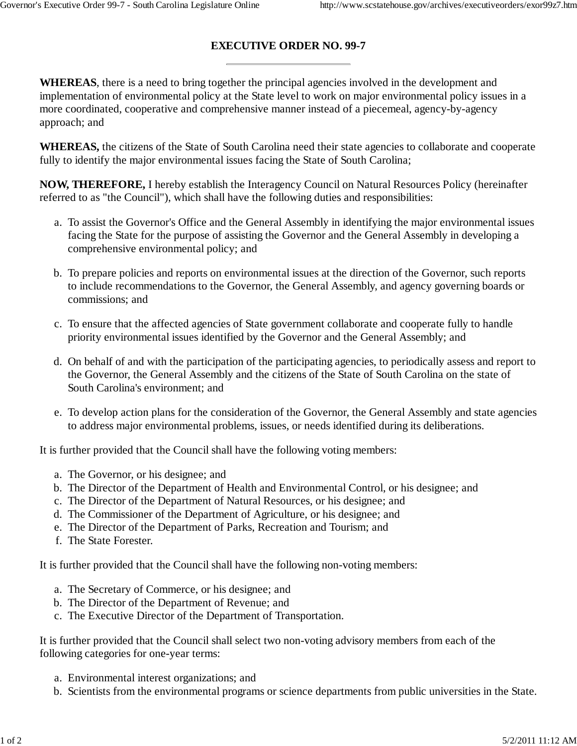## **EXECUTIVE ORDER NO. 99-7**

**WHEREAS**, there is a need to bring together the principal agencies involved in the development and implementation of environmental policy at the State level to work on major environmental policy issues in a more coordinated, cooperative and comprehensive manner instead of a piecemeal, agency-by-agency approach; and

**WHEREAS,** the citizens of the State of South Carolina need their state agencies to collaborate and cooperate fully to identify the major environmental issues facing the State of South Carolina;

**NOW, THEREFORE,** I hereby establish the Interagency Council on Natural Resources Policy (hereinafter referred to as "the Council"), which shall have the following duties and responsibilities:

- a. To assist the Governor's Office and the General Assembly in identifying the major environmental issues facing the State for the purpose of assisting the Governor and the General Assembly in developing a comprehensive environmental policy; and
- b. To prepare policies and reports on environmental issues at the direction of the Governor, such reports to include recommendations to the Governor, the General Assembly, and agency governing boards or commissions; and
- c. To ensure that the affected agencies of State government collaborate and cooperate fully to handle priority environmental issues identified by the Governor and the General Assembly; and
- d. On behalf of and with the participation of the participating agencies, to periodically assess and report to the Governor, the General Assembly and the citizens of the State of South Carolina on the state of South Carolina's environment; and
- e. To develop action plans for the consideration of the Governor, the General Assembly and state agencies to address major environmental problems, issues, or needs identified during its deliberations.

It is further provided that the Council shall have the following voting members:

- a. The Governor, or his designee; and
- b. The Director of the Department of Health and Environmental Control, or his designee; and
- c. The Director of the Department of Natural Resources, or his designee; and
- d. The Commissioner of the Department of Agriculture, or his designee; and
- e. The Director of the Department of Parks, Recreation and Tourism; and
- f. The State Forester.

It is further provided that the Council shall have the following non-voting members:

- a. The Secretary of Commerce, or his designee; and
- b. The Director of the Department of Revenue; and
- c. The Executive Director of the Department of Transportation.

It is further provided that the Council shall select two non-voting advisory members from each of the following categories for one-year terms:

- a. Environmental interest organizations; and
- b. Scientists from the environmental programs or science departments from public universities in the State.